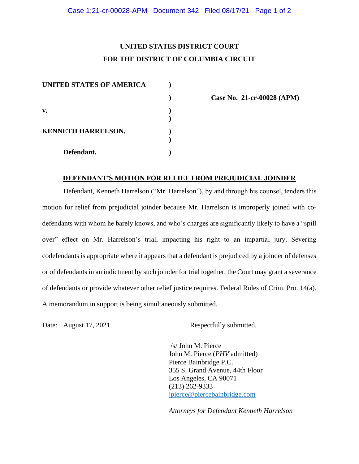## **UNITED STATES DISTRICT COURT FOR THE DISTRICT OF COLUMBIA CIRCUIT**

| <b>UNITED STATES OF AMERICA</b> |  |
|---------------------------------|--|
|                                 |  |
| v.                              |  |
| <b>KENNETH HARRELSON,</b>       |  |
| Defendant.                      |  |

**) Case No. 21-cr-00028 (APM)**

## **DEFENDANT'S MOTION FOR RELIEF FROM PREJUDICIAL JOINDER**

Defendant, Kenneth Harrelson ("Mr. Harrelson"), by and through his counsel, tenders this motion for relief from prejudicial joinder because Mr. Harrelson is improperly joined with codefendants with whom he barely knows, and who's charges are significantly likely to have a "spill over" effect on Mr. Harrelson's trial, impacting his right to an impartial jury. Severing codefendants is appropriate where it appears that a defendant is prejudiced by a joinder of defenses or of defendants in an indictment by such joinder for trial together, the Court may grant a severance of defendants or provide whatever other relief justice requires. Federal Rules of Crim. Pro. 14(a). A memorandum in support is being simultaneously submitted.

Date: August 17, 2021 Respectfully submitted,

/s/ John M. Pierce John M. Pierce (*PHV* admitted) Pierce Bainbridge P.C. 355 S. Grand Avenue, 44th Floor Los Angeles, CA 90071 (213) 262-9333 jpierce@piercebainbridge.com

*Attorneys for Defendant Kenneth Harrelson*